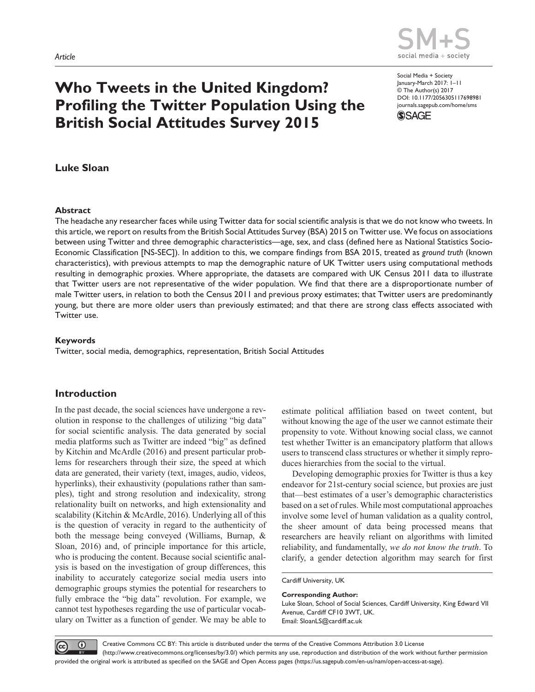

\$SAGE Social Media + Society January-March 2017: 1–11 © The Author(s) 2017 DOI: 10.1177/2056305117698981 [journals.sagepub.com/home/sms](https://journals.sagepub.com/home/sms)

# **Who Tweets in the United Kingdom? Profiling the Twitter Population Using the British Social Attitudes Survey 2015**

# **Luke Sloan**

## **Abstract**

The headache any researcher faces while using Twitter data for social scientific analysis is that we do not know who tweets. In this article, we report on results from the British Social Attitudes Survey (BSA) 2015 on Twitter use. We focus on associations between using Twitter and three demographic characteristics—age, sex, and class (defined here as National Statistics Socio-Economic Classification [NS-SEC]). In addition to this, we compare findings from BSA 2015, treated as *ground truth* (known characteristics), with previous attempts to map the demographic nature of UK Twitter users using computational methods resulting in demographic proxies. Where appropriate, the datasets are compared with UK Census 2011 data to illustrate that Twitter users are not representative of the wider population. We find that there are a disproportionate number of male Twitter users, in relation to both the Census 2011 and previous proxy estimates; that Twitter users are predominantly young, but there are more older users than previously estimated; and that there are strong class effects associated with Twitter use.

## **Keywords**

Twitter, social media, demographics, representation, British Social Attitudes

# **Introduction**

In the past decade, the social sciences have undergone a revolution in response to the challenges of utilizing "big data" for social scientific analysis. The data generated by social media platforms such as Twitter are indeed "big" as defined by Kitchin and McArdle (2016) and present particular problems for researchers through their size, the speed at which data are generated, their variety (text, images, audio, videos, hyperlinks), their exhaustivity (populations rather than samples), tight and strong resolution and indexicality, strong relationality built on networks, and high extensionality and scalability (Kitchin & McArdle, 2016). Underlying all of this is the question of veracity in regard to the authenticity of both the message being conveyed (Williams, Burnap, & Sloan, 2016) and, of principle importance for this article, who is producing the content. Because social scientific analysis is based on the investigation of group differences, this inability to accurately categorize social media users into demographic groups stymies the potential for researchers to fully embrace the "big data" revolution. For example, we cannot test hypotheses regarding the use of particular vocabulary on Twitter as a function of gender. We may be able to

estimate political affiliation based on tweet content, but without knowing the age of the user we cannot estimate their propensity to vote. Without knowing social class, we cannot test whether Twitter is an emancipatory platform that allows users to transcend class structures or whether it simply reproduces hierarchies from the social to the virtual.

Developing demographic proxies for Twitter is thus a key endeavor for 21st-century social science, but proxies are just that—best estimates of a user's demographic characteristics based on a set of rules. While most computational approaches involve some level of human validation as a quality control, the sheer amount of data being processed means that researchers are heavily reliant on algorithms with limited reliability, and fundamentally, *we do not know the truth*. To clarify, a gender detection algorithm may search for first

Cardiff University, UK

**Corresponding Author:** Luke Sloan, School of Social Sciences, Cardiff University, King Edward VII Avenue, Cardiff CF10 3WT, UK. Email: [SloanLS@cardiff.ac.uk](mailto:SloanLS@cardiff.ac.uk)

 $\left( \cdot \right)$ 

Creative Commons CC BY: This article is distributed under the terms of the Creative Commons Attribution 3.0 License

(http://www.creativecommons.org/licenses/by/3.0/) which permits any use, reproduction and distribution of the work without further permission provided the original work is attributed as specified on the SAGE and Open Access pages (https://us.sagepub.com/en-us/nam/open-access-at-sage).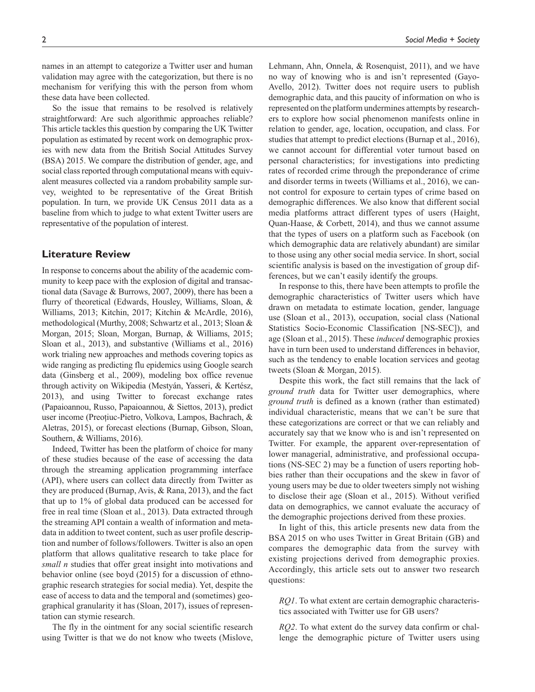names in an attempt to categorize a Twitter user and human validation may agree with the categorization, but there is no mechanism for verifying this with the person from whom these data have been collected.

So the issue that remains to be resolved is relatively straightforward: Are such algorithmic approaches reliable? This article tackles this question by comparing the UK Twitter population as estimated by recent work on demographic proxies with new data from the British Social Attitudes Survey (BSA) 2015. We compare the distribution of gender, age, and social class reported through computational means with equivalent measures collected via a random probability sample survey, weighted to be representative of the Great British population. In turn, we provide UK Census 2011 data as a baseline from which to judge to what extent Twitter users are representative of the population of interest.

## **Literature Review**

In response to concerns about the ability of the academic community to keep pace with the explosion of digital and transactional data (Savage & Burrows, 2007, 2009), there has been a flurry of theoretical (Edwards, Housley, Williams, Sloan, & Williams, 2013; Kitchin, 2017; Kitchin & McArdle, 2016), methodological (Murthy, 2008; Schwartz et al., 2013; Sloan & Morgan, 2015; Sloan, Morgan, Burnap, & Williams, 2015; Sloan et al., 2013), and substantive (Williams et al., 2016) work trialing new approaches and methods covering topics as wide ranging as predicting flu epidemics using Google search data (Ginsberg et al., 2009), modeling box office revenue through activity on Wikipedia (Mestyán, Yasseri, & Kertész, 2013), and using Twitter to forecast exchange rates (Papaioannou, Russo, Papaioannou, & Siettos, 2013), predict user income (Preoţiuc-Pietro, Volkova, Lampos, Bachrach, & Aletras, 2015), or forecast elections (Burnap, Gibson, Sloan, Southern, & Williams, 2016).

Indeed, Twitter has been the platform of choice for many of these studies because of the ease of accessing the data through the streaming application programming interface (API), where users can collect data directly from Twitter as they are produced (Burnap, Avis, & Rana, 2013), and the fact that up to 1% of global data produced can be accessed for free in real time (Sloan et al., 2013). Data extracted through the streaming API contain a wealth of information and metadata in addition to tweet content, such as user profile description and number of follows/followers. Twitter is also an open platform that allows qualitative research to take place for *small n* studies that offer great insight into motivations and behavior online (see boyd (2015) for a discussion of ethnographic research strategies for social media). Yet, despite the ease of access to data and the temporal and (sometimes) geographical granularity it has (Sloan, 2017), issues of representation can stymie research.

The fly in the ointment for any social scientific research using Twitter is that we do not know who tweets (Mislove,

Lehmann, Ahn, Onnela, & Rosenquist, 2011), and we have no way of knowing who is and isn't represented (Gayo-Avello, 2012). Twitter does not require users to publish demographic data, and this paucity of information on who is represented on the platform undermines attempts by researchers to explore how social phenomenon manifests online in relation to gender, age, location, occupation, and class. For studies that attempt to predict elections (Burnap et al., 2016), we cannot account for differential voter turnout based on personal characteristics; for investigations into predicting rates of recorded crime through the preponderance of crime and disorder terms in tweets (Williams et al., 2016), we cannot control for exposure to certain types of crime based on demographic differences. We also know that different social media platforms attract different types of users (Haight, Quan-Haase, & Corbett, 2014), and thus we cannot assume that the types of users on a platform such as Facebook (on which demographic data are relatively abundant) are similar to those using any other social media service. In short, social scientific analysis is based on the investigation of group differences, but we can't easily identify the groups.

In response to this, there have been attempts to profile the demographic characteristics of Twitter users which have drawn on metadata to estimate location, gender, language use (Sloan et al., 2013), occupation, social class (National Statistics Socio-Economic Classification [NS-SEC]), and age (Sloan et al., 2015). These *induced* demographic proxies have in turn been used to understand differences in behavior, such as the tendency to enable location services and geotag tweets (Sloan & Morgan, 2015).

Despite this work, the fact still remains that the lack of *ground truth* data for Twitter user demographics, where *ground truth* is defined as a known (rather than estimated) individual characteristic, means that we can't be sure that these categorizations are correct or that we can reliably and accurately say that we know who is and isn't represented on Twitter. For example, the apparent over-representation of lower managerial, administrative, and professional occupations (NS-SEC 2) may be a function of users reporting hobbies rather than their occupations and the skew in favor of young users may be due to older tweeters simply not wishing to disclose their age (Sloan et al., 2015). Without verified data on demographics, we cannot evaluate the accuracy of the demographic projections derived from these proxies.

In light of this, this article presents new data from the BSA 2015 on who uses Twitter in Great Britain (GB) and compares the demographic data from the survey with existing projections derived from demographic proxies. Accordingly, this article sets out to answer two research questions:

*RQ1*. To what extent are certain demographic characteristics associated with Twitter use for GB users?

*RQ2*. To what extent do the survey data confirm or challenge the demographic picture of Twitter users using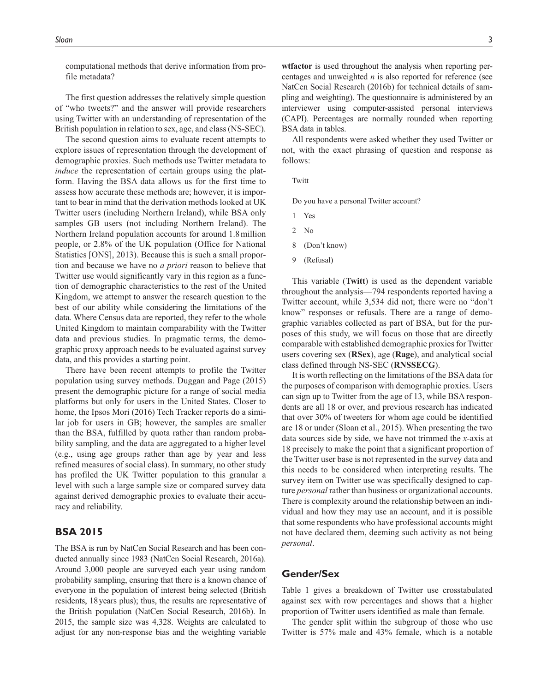computational methods that derive information from profile metadata?

The first question addresses the relatively simple question of "who tweets?" and the answer will provide researchers using Twitter with an understanding of representation of the British population in relation to sex, age, and class (NS-SEC).

The second question aims to evaluate recent attempts to explore issues of representation through the development of demographic proxies. Such methods use Twitter metadata to *induce* the representation of certain groups using the platform. Having the BSA data allows us for the first time to assess how accurate these methods are; however, it is important to bear in mind that the derivation methods looked at UK Twitter users (including Northern Ireland), while BSA only samples GB users (not including Northern Ireland). The Northern Ireland population accounts for around 1.8million people, or 2.8% of the UK population (Office for National Statistics [ONS], 2013). Because this is such a small proportion and because we have no *a priori* reason to believe that Twitter use would significantly vary in this region as a function of demographic characteristics to the rest of the United Kingdom, we attempt to answer the research question to the best of our ability while considering the limitations of the data. Where Census data are reported, they refer to the whole United Kingdom to maintain comparability with the Twitter data and previous studies. In pragmatic terms, the demographic proxy approach needs to be evaluated against survey data, and this provides a starting point.

There have been recent attempts to profile the Twitter population using survey methods. Duggan and Page (2015) present the demographic picture for a range of social media platforms but only for users in the United States. Closer to home, the Ipsos Mori (2016) Tech Tracker reports do a similar job for users in GB; however, the samples are smaller than the BSA, fulfilled by quota rather than random probability sampling, and the data are aggregated to a higher level (e.g., using age groups rather than age by year and less refined measures of social class). In summary, no other study has profiled the UK Twitter population to this granular a level with such a large sample size or compared survey data against derived demographic proxies to evaluate their accuracy and reliability.

### **BSA 2015**

The BSA is run by NatCen Social Research and has been conducted annually since 1983 (NatCen Social Research, 2016a). Around 3,000 people are surveyed each year using random probability sampling, ensuring that there is a known chance of everyone in the population of interest being selected (British residents, 18years plus); thus, the results are representative of the British population (NatCen Social Research, 2016b). In 2015, the sample size was 4,328. Weights are calculated to adjust for any non-response bias and the weighting variable

**wtfactor** is used throughout the analysis when reporting percentages and unweighted *n* is also reported for reference (see NatCen Social Research (2016b) for technical details of sampling and weighting). The questionnaire is administered by an interviewer using computer-assisted personal interviews (CAPI). Percentages are normally rounded when reporting BSA data in tables.

All respondents were asked whether they used Twitter or not, with the exact phrasing of question and response as follows:

**Twitt** 

Do you have a personal Twitter account?

- 1 Yes
- 2 No
- 8 (Don't know)
- 9 (Refusal)

This variable (**Twitt**) is used as the dependent variable throughout the analysis—794 respondents reported having a Twitter account, while 3,534 did not; there were no "don't know" responses or refusals. There are a range of demographic variables collected as part of BSA, but for the purposes of this study, we will focus on those that are directly comparable with established demographic proxies for Twitter users covering sex (**RSex**), age (**Rage**), and analytical social class defined through NS-SEC (**RNSSECG**).

It is worth reflecting on the limitations of the BSA data for the purposes of comparison with demographic proxies. Users can sign up to Twitter from the age of 13, while BSA respondents are all 18 or over, and previous research has indicated that over 30% of tweeters for whom age could be identified are 18 or under (Sloan et al., 2015). When presenting the two data sources side by side, we have not trimmed the *x-*axis at 18 precisely to make the point that a significant proportion of the Twitter user base is not represented in the survey data and this needs to be considered when interpreting results. The survey item on Twitter use was specifically designed to capture *personal* rather than business or organizational accounts. There is complexity around the relationship between an individual and how they may use an account, and it is possible that some respondents who have professional accounts might not have declared them, deeming such activity as not being *personal*.

#### **Gender/Sex**

Table 1 gives a breakdown of Twitter use crosstabulated against sex with row percentages and shows that a higher proportion of Twitter users identified as male than female.

The gender split within the subgroup of those who use Twitter is 57% male and 43% female, which is a notable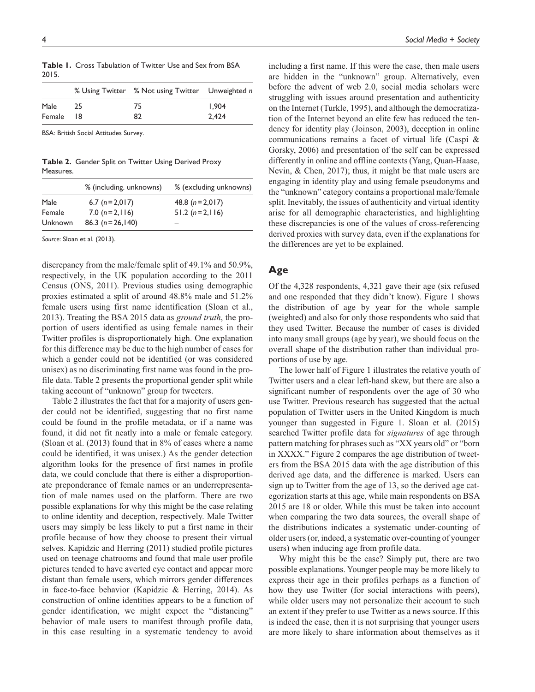**Table 1.** Cross Tabulation of Twitter Use and Sex from BSA 2015.

|           |    | % Using Twitter % Not using Twitter Unweighted n |       |
|-----------|----|--------------------------------------------------|-------|
| Male      | 25 | 75.                                              | 1.904 |
| Female 18 |    | 82                                               | 2.424 |

BSA: British Social Attitudes Survey.

**Table 2.** Gender Split on Twitter Using Derived Proxy Measures.

|                | % (including. unknowns) | % (excluding unknowns) |
|----------------|-------------------------|------------------------|
| Male           | 6.7 $(n=2,017)$         | 48.8 $(n=2,017)$       |
| Female         | 7.0 $(n=2,116)$         | $51.2(n=2,116)$        |
| <b>Unknown</b> | 86.3 $(n=26,140)$       | -                      |

*Source*: Sloan et al. (2013).

discrepancy from the male/female split of 49.1% and 50.9%, respectively, in the UK population according to the 2011 Census (ONS, 2011). Previous studies using demographic proxies estimated a split of around 48.8% male and 51.2% female users using first name identification (Sloan et al., 2013). Treating the BSA 2015 data as *ground truth*, the proportion of users identified as using female names in their Twitter profiles is disproportionately high. One explanation for this difference may be due to the high number of cases for which a gender could not be identified (or was considered unisex) as no discriminating first name was found in the profile data. Table 2 presents the proportional gender split while taking account of "unknown" group for tweeters.

Table 2 illustrates the fact that for a majority of users gender could not be identified, suggesting that no first name could be found in the profile metadata, or if a name was found, it did not fit neatly into a male or female category. (Sloan et al. (2013) found that in 8% of cases where a name could be identified, it was unisex.) As the gender detection algorithm looks for the presence of first names in profile data, we could conclude that there is either a disproportionate preponderance of female names or an underrepresentation of male names used on the platform. There are two possible explanations for why this might be the case relating to online identity and deception, respectively. Male Twitter users may simply be less likely to put a first name in their profile because of how they choose to present their virtual selves. Kapidzic and Herring (2011) studied profile pictures used on teenage chatrooms and found that male user profile pictures tended to have averted eye contact and appear more distant than female users, which mirrors gender differences in face-to-face behavior (Kapidzic & Herring, 2014). As construction of online identities appears to be a function of gender identification, we might expect the "distancing" behavior of male users to manifest through profile data, in this case resulting in a systematic tendency to avoid

including a first name. If this were the case, then male users are hidden in the "unknown" group. Alternatively, even before the advent of web 2.0, social media scholars were struggling with issues around presentation and authenticity on the Internet (Turkle, 1995), and although the democratization of the Internet beyond an elite few has reduced the tendency for identity play (Joinson, 2003), deception in online communications remains a facet of virtual life (Caspi & Gorsky, 2006) and presentation of the self can be expressed differently in online and offline contexts (Yang, Quan-Haase, Nevin, & Chen, 2017); thus, it might be that male users are engaging in identity play and using female pseudonyms and the "unknown" category contains a proportional male/female split. Inevitably, the issues of authenticity and virtual identity arise for all demographic characteristics, and highlighting these discrepancies is one of the values of cross-referencing derived proxies with survey data, even if the explanations for the differences are yet to be explained.

## **Age**

Of the 4,328 respondents, 4,321 gave their age (six refused and one responded that they didn't know). Figure 1 shows the distribution of age by year for the whole sample (weighted) and also for only those respondents who said that they used Twitter. Because the number of cases is divided into many small groups (age by year), we should focus on the overall shape of the distribution rather than individual proportions of use by age.

The lower half of Figure 1 illustrates the relative youth of Twitter users and a clear left-hand skew, but there are also a significant number of respondents over the age of 30 who use Twitter. Previous research has suggested that the actual population of Twitter users in the United Kingdom is much younger than suggested in Figure 1. Sloan et al. (2015) searched Twitter profile data for *signatures* of age through pattern matching for phrases such as "XX years old" or "born in XXXX." Figure 2 compares the age distribution of tweeters from the BSA 2015 data with the age distribution of this derived age data, and the difference is marked. Users can sign up to Twitter from the age of 13, so the derived age categorization starts at this age, while main respondents on BSA 2015 are 18 or older. While this must be taken into account when comparing the two data sources, the overall shape of the distributions indicates a systematic under-counting of older users (or, indeed, a systematic over-counting of younger users) when inducing age from profile data.

Why might this be the case? Simply put, there are two possible explanations. Younger people may be more likely to express their age in their profiles perhaps as a function of how they use Twitter (for social interactions with peers), while older users may not personalize their account to such an extent if they prefer to use Twitter as a news source. If this is indeed the case, then it is not surprising that younger users are more likely to share information about themselves as it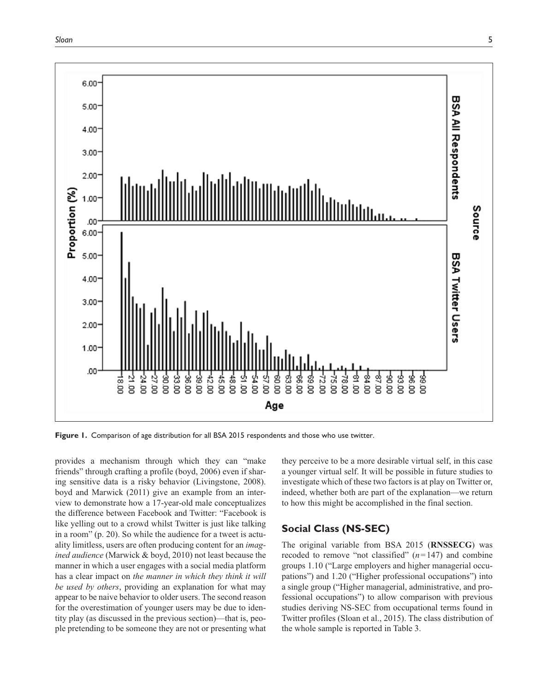

**Figure 1.** Comparison of age distribution for all BSA 2015 respondents and those who use twitter.

provides a mechanism through which they can "make friends" through crafting a profile (boyd, 2006) even if sharing sensitive data is a risky behavior (Livingstone, 2008). boyd and Marwick (2011) give an example from an interview to demonstrate how a 17-year-old male conceptualizes the difference between Facebook and Twitter: "Facebook is like yelling out to a crowd whilst Twitter is just like talking in a room" (p. 20). So while the audience for a tweet is actuality limitless, users are often producing content for an *imagined audience* (Marwick & boyd, 2010) not least because the manner in which a user engages with a social media platform has a clear impact on *the manner in which they think it will be used by others*, providing an explanation for what may appear to be naive behavior to older users. The second reason for the overestimation of younger users may be due to identity play (as discussed in the previous section)—that is, people pretending to be someone they are not or presenting what

they perceive to be a more desirable virtual self, in this case a younger virtual self. It will be possible in future studies to investigate which of these two factors is at play on Twitter or, indeed, whether both are part of the explanation—we return to how this might be accomplished in the final section.

## **Social Class (NS-SEC)**

The original variable from BSA 2015 (**RNSSECG**) was recoded to remove "not classified" (*n*=147) and combine groups 1.10 ("Large employers and higher managerial occupations") and 1.20 ("Higher professional occupations") into a single group ("Higher managerial, administrative, and professional occupations") to allow comparison with previous studies deriving NS-SEC from occupational terms found in Twitter profiles (Sloan et al., 2015). The class distribution of the whole sample is reported in Table 3.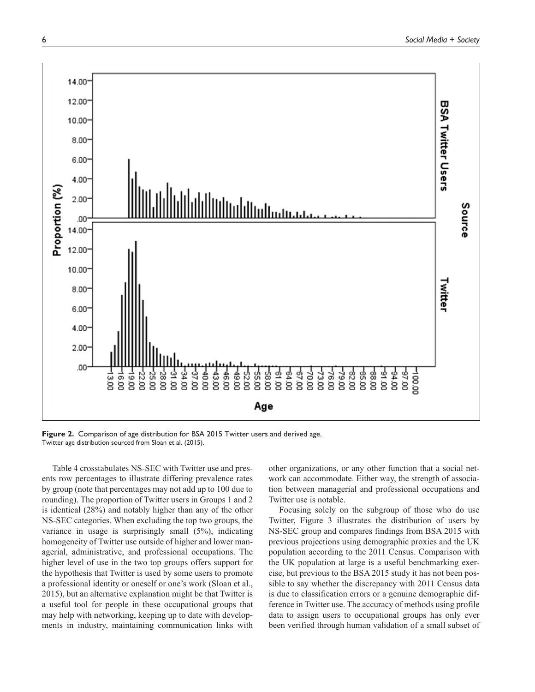

**Figure 2.** Comparison of age distribution for BSA 2015 Twitter users and derived age. Twitter age distribution sourced from Sloan et al. (2015).

Table 4 crosstabulates NS-SEC with Twitter use and presents row percentages to illustrate differing prevalence rates by group (note that percentages may not add up to 100 due to rounding). The proportion of Twitter users in Groups 1 and 2 is identical (28%) and notably higher than any of the other NS-SEC categories. When excluding the top two groups, the variance in usage is surprisingly small (5%), indicating homogeneity of Twitter use outside of higher and lower managerial, administrative, and professional occupations. The higher level of use in the two top groups offers support for the hypothesis that Twitter is used by some users to promote a professional identity or oneself or one's work (Sloan et al., 2015), but an alternative explanation might be that Twitter is a useful tool for people in these occupational groups that may help with networking, keeping up to date with developments in industry, maintaining communication links with

other organizations, or any other function that a social network can accommodate. Either way, the strength of association between managerial and professional occupations and Twitter use is notable.

Focusing solely on the subgroup of those who do use Twitter, Figure 3 illustrates the distribution of users by NS-SEC group and compares findings from BSA 2015 with previous projections using demographic proxies and the UK population according to the 2011 Census. Comparison with the UK population at large is a useful benchmarking exercise, but previous to the BSA 2015 study it has not been possible to say whether the discrepancy with 2011 Census data is due to classification errors or a genuine demographic difference in Twitter use. The accuracy of methods using profile data to assign users to occupational groups has only ever been verified through human validation of a small subset of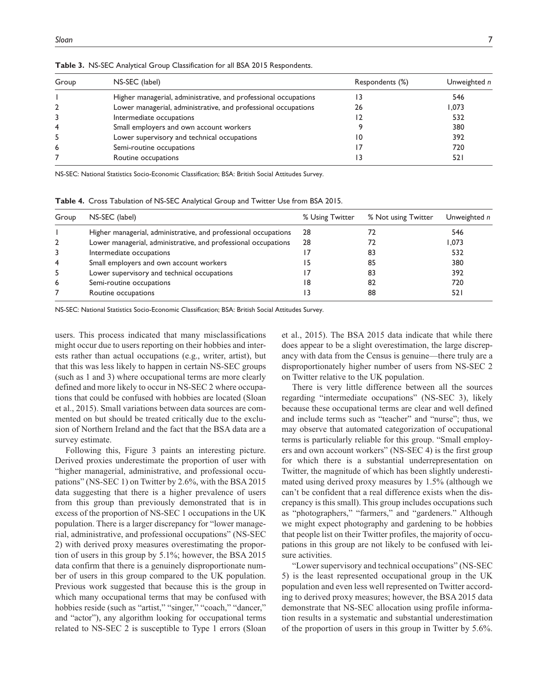| Group | NS-SEC (label)                                                  | Respondents (%) | Unweighted n |
|-------|-----------------------------------------------------------------|-----------------|--------------|
|       | Higher managerial, administrative, and professional occupations | 13              | 546          |
|       | Lower managerial, administrative, and professional occupations  | 26              | 1.073        |
|       | Intermediate occupations                                        | 12              | 532          |
| 4     | Small employers and own account workers                         |                 | 380          |
|       | Lower supervisory and technical occupations                     | 10              | 392          |
| 6     | Semi-routine occupations                                        |                 | 720          |
|       | Routine occupations                                             |                 | 52 I         |

**Table 3.** NS-SEC Analytical Group Classification for all BSA 2015 Respondents.

NS-SEC: National Statistics Socio-Economic Classification; BSA: British Social Attitudes Survey.

**Table 4.** Cross Tabulation of NS-SEC Analytical Group and Twitter Use from BSA 2015.

| Group | NS-SEC (label)                                                  | % Using Twitter | % Not using Twitter | Unweighted n |
|-------|-----------------------------------------------------------------|-----------------|---------------------|--------------|
|       | Higher managerial, administrative, and professional occupations | 28              | 72                  | 546          |
| 2     | Lower managerial, administrative, and professional occupations  | 28              | 72                  | 1.073        |
| 3     | Intermediate occupations                                        |                 | 83                  | 532          |
| 4     | Small employers and own account workers                         |                 | 85                  | 380          |
| 5     | Lower supervisory and technical occupations                     |                 | 83                  | 392          |
| 6     | Semi-routine occupations                                        | 18              | 82                  | 720          |
|       | Routine occupations                                             |                 | 88                  | 52 I         |

NS-SEC: National Statistics Socio-Economic Classification; BSA: British Social Attitudes Survey.

users. This process indicated that many misclassifications might occur due to users reporting on their hobbies and interests rather than actual occupations (e.g., writer, artist), but that this was less likely to happen in certain NS-SEC groups (such as 1 and 3) where occupational terms are more clearly defined and more likely to occur in NS-SEC 2 where occupations that could be confused with hobbies are located (Sloan et al., 2015). Small variations between data sources are commented on but should be treated critically due to the exclusion of Northern Ireland and the fact that the BSA data are a survey estimate.

Following this, Figure 3 paints an interesting picture. Derived proxies underestimate the proportion of user with "higher managerial, administrative, and professional occupations" (NS-SEC 1) on Twitter by 2.6%, with the BSA 2015 data suggesting that there is a higher prevalence of users from this group than previously demonstrated that is in excess of the proportion of NS-SEC 1 occupations in the UK population. There is a larger discrepancy for "lower managerial, administrative, and professional occupations" (NS-SEC 2) with derived proxy measures overestimating the proportion of users in this group by 5.1%; however, the BSA 2015 data confirm that there is a genuinely disproportionate number of users in this group compared to the UK population. Previous work suggested that because this is the group in which many occupational terms that may be confused with hobbies reside (such as "artist," "singer," "coach," "dancer," and "actor"), any algorithm looking for occupational terms related to NS-SEC 2 is susceptible to Type 1 errors (Sloan

et al., 2015). The BSA 2015 data indicate that while there does appear to be a slight overestimation, the large discrepancy with data from the Census is genuine—there truly are a disproportionately higher number of users from NS-SEC 2 on Twitter relative to the UK population.

There is very little difference between all the sources regarding "intermediate occupations" (NS-SEC 3), likely because these occupational terms are clear and well defined and include terms such as "teacher" and "nurse"; thus, we may observe that automated categorization of occupational terms is particularly reliable for this group. "Small employers and own account workers" (NS-SEC 4) is the first group for which there is a substantial underrepresentation on Twitter, the magnitude of which has been slightly underestimated using derived proxy measures by 1.5% (although we can't be confident that a real difference exists when the discrepancy is this small). This group includes occupations such as "photographers," "farmers," and "gardeners." Although we might expect photography and gardening to be hobbies that people list on their Twitter profiles, the majority of occupations in this group are not likely to be confused with leisure activities.

"Lower supervisory and technical occupations" (NS-SEC 5) is the least represented occupational group in the UK population and even less well represented on Twitter according to derived proxy measures; however, the BSA 2015 data demonstrate that NS-SEC allocation using profile information results in a systematic and substantial underestimation of the proportion of users in this group in Twitter by 5.6%.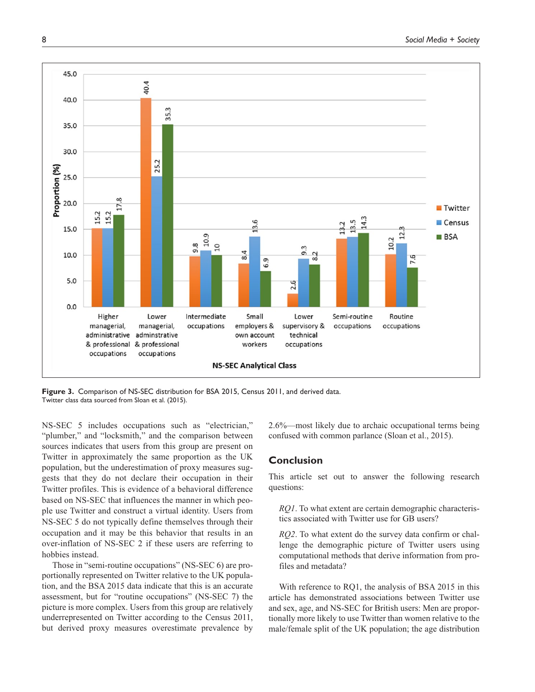

**Figure 3.** Comparison of NS-SEC distribution for BSA 2015, Census 2011, and derived data. Twitter class data sourced from Sloan et al. (2015).

NS-SEC 5 includes occupations such as "electrician," "plumber," and "locksmith," and the comparison between sources indicates that users from this group are present on Twitter in approximately the same proportion as the UK population, but the underestimation of proxy measures suggests that they do not declare their occupation in their Twitter profiles. This is evidence of a behavioral difference based on NS-SEC that influences the manner in which people use Twitter and construct a virtual identity. Users from NS-SEC 5 do not typically define themselves through their occupation and it may be this behavior that results in an over-inflation of NS-SEC 2 if these users are referring to hobbies instead.

Those in "semi-routine occupations" (NS-SEC 6) are proportionally represented on Twitter relative to the UK population, and the BSA 2015 data indicate that this is an accurate assessment, but for "routine occupations" (NS-SEC 7) the picture is more complex. Users from this group are relatively underrepresented on Twitter according to the Census 2011, but derived proxy measures overestimate prevalence by 2.6%—most likely due to archaic occupational terms being confused with common parlance (Sloan et al., 2015).

## **Conclusion**

This article set out to answer the following research questions:

*RQ1*. To what extent are certain demographic characteristics associated with Twitter use for GB users?

*RQ2*. To what extent do the survey data confirm or challenge the demographic picture of Twitter users using computational methods that derive information from profiles and metadata?

With reference to RQ1, the analysis of BSA 2015 in this article has demonstrated associations between Twitter use and sex, age, and NS-SEC for British users: Men are proportionally more likely to use Twitter than women relative to the male/female split of the UK population; the age distribution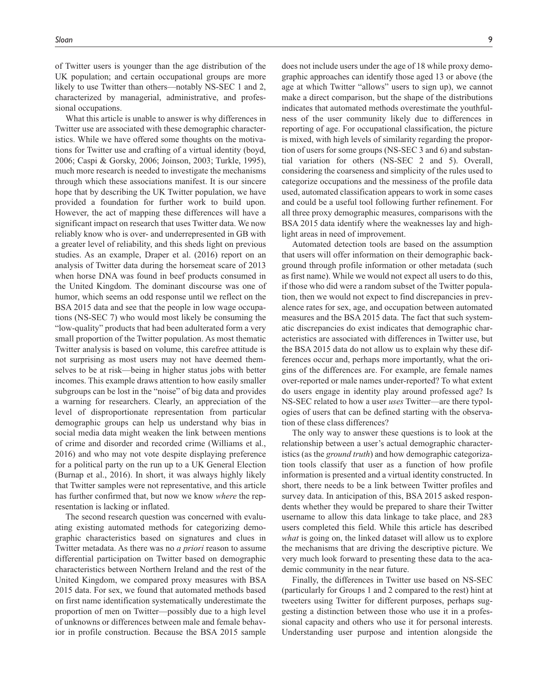of Twitter users is younger than the age distribution of the UK population; and certain occupational groups are more likely to use Twitter than others—notably NS-SEC 1 and 2, characterized by managerial, administrative, and professional occupations.

What this article is unable to answer is why differences in Twitter use are associated with these demographic characteristics. While we have offered some thoughts on the motivations for Twitter use and crafting of a virtual identity (boyd, 2006; Caspi & Gorsky, 2006; Joinson, 2003; Turkle, 1995), much more research is needed to investigate the mechanisms through which these associations manifest. It is our sincere hope that by describing the UK Twitter population, we have provided a foundation for further work to build upon. However, the act of mapping these differences will have a significant impact on research that uses Twitter data. We now reliably know who is over- and underrepresented in GB with a greater level of reliability, and this sheds light on previous studies. As an example, Draper et al. (2016) report on an analysis of Twitter data during the horsemeat scare of 2013 when horse DNA was found in beef products consumed in the United Kingdom. The dominant discourse was one of humor, which seems an odd response until we reflect on the BSA 2015 data and see that the people in low wage occupations (NS-SEC 7) who would most likely be consuming the "low-quality" products that had been adulterated form a very small proportion of the Twitter population. As most thematic Twitter analysis is based on volume, this carefree attitude is not surprising as most users may not have deemed themselves to be at risk—being in higher status jobs with better incomes. This example draws attention to how easily smaller subgroups can be lost in the "noise" of big data and provides a warning for researchers. Clearly, an appreciation of the level of disproportionate representation from particular demographic groups can help us understand why bias in social media data might weaken the link between mentions of crime and disorder and recorded crime (Williams et al., 2016) and who may not vote despite displaying preference for a political party on the run up to a UK General Election (Burnap et al., 2016). In short, it was always highly likely that Twitter samples were not representative, and this article has further confirmed that, but now we know *where* the representation is lacking or inflated.

The second research question was concerned with evaluating existing automated methods for categorizing demographic characteristics based on signatures and clues in Twitter metadata. As there was no *a priori* reason to assume differential participation on Twitter based on demographic characteristics between Northern Ireland and the rest of the United Kingdom, we compared proxy measures with BSA 2015 data. For sex, we found that automated methods based on first name identification systematically underestimate the proportion of men on Twitter—possibly due to a high level of unknowns or differences between male and female behavior in profile construction. Because the BSA 2015 sample

does not include users under the age of 18 while proxy demographic approaches can identify those aged 13 or above (the age at which Twitter "allows" users to sign up), we cannot make a direct comparison, but the shape of the distributions indicates that automated methods overestimate the youthfulness of the user community likely due to differences in reporting of age. For occupational classification, the picture is mixed, with high levels of similarity regarding the proportion of users for some groups (NS-SEC 3 and 6) and substantial variation for others (NS-SEC 2 and 5). Overall, considering the coarseness and simplicity of the rules used to categorize occupations and the messiness of the profile data used, automated classification appears to work in some cases and could be a useful tool following further refinement. For all three proxy demographic measures, comparisons with the BSA 2015 data identify where the weaknesses lay and highlight areas in need of improvement.

Automated detection tools are based on the assumption that users will offer information on their demographic background through profile information or other metadata (such as first name). While we would not expect all users to do this, if those who did were a random subset of the Twitter population, then we would not expect to find discrepancies in prevalence rates for sex, age, and occupation between automated measures and the BSA 2015 data. The fact that such systematic discrepancies do exist indicates that demographic characteristics are associated with differences in Twitter use, but the BSA 2015 data do not allow us to explain why these differences occur and, perhaps more importantly, what the origins of the differences are. For example, are female names over-reported or male names under-reported? To what extent do users engage in identity play around professed age? Is NS-SEC related to how a user *uses* Twitter—are there typologies of users that can be defined starting with the observation of these class differences?

The only way to answer these questions is to look at the relationship between a user's actual demographic characteristics (as the *ground truth*) and how demographic categorization tools classify that user as a function of how profile information is presented and a virtual identity constructed. In short, there needs to be a link between Twitter profiles and survey data. In anticipation of this, BSA 2015 asked respondents whether they would be prepared to share their Twitter username to allow this data linkage to take place, and 283 users completed this field. While this article has described *what* is going on, the linked dataset will allow us to explore the mechanisms that are driving the descriptive picture. We very much look forward to presenting these data to the academic community in the near future.

Finally, the differences in Twitter use based on NS-SEC (particularly for Groups 1 and 2 compared to the rest) hint at tweeters using Twitter for different purposes, perhaps suggesting a distinction between those who use it in a professional capacity and others who use it for personal interests. Understanding user purpose and intention alongside the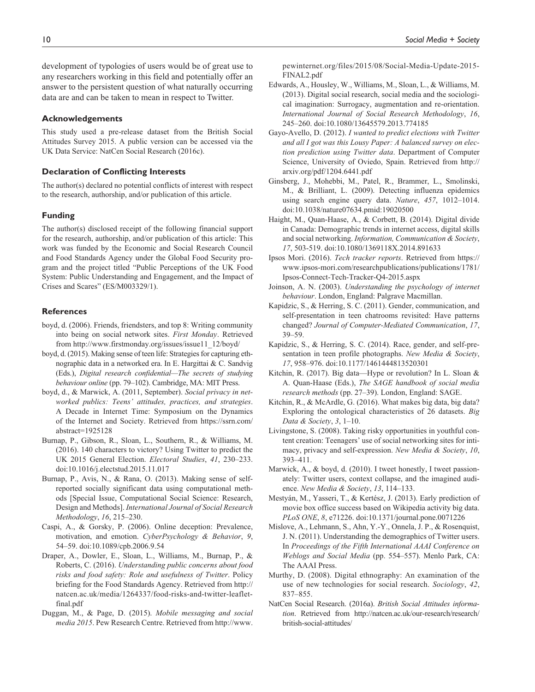development of typologies of users would be of great use to any researchers working in this field and potentially offer an answer to the persistent question of what naturally occurring data are and can be taken to mean in respect to Twitter.

#### **Acknowledgements**

This study used a pre-release dataset from the British Social Attitudes Survey 2015. A public version can be accessed via the UK Data Service: NatCen Social Research (2016c).

#### **Declaration of Conflicting Interests**

The author(s) declared no potential conflicts of interest with respect to the research, authorship, and/or publication of this article.

#### **Funding**

The author(s) disclosed receipt of the following financial support for the research, authorship, and/or publication of this article: This work was funded by the Economic and Social Research Council and Food Standards Agency under the Global Food Security program and the project titled "Public Perceptions of the UK Food System: Public Understanding and Engagement, and the Impact of Crises and Scares" (ES/M003329/1).

#### **References**

- boyd, d. (2006). Friends, friendsters, and top 8: Writing community into being on social network sites. *First Monday*. Retrieved from [http://www.firstmonday.org/issues/issue11\\_12/boyd/](http://www.firstmonday.org/issues/issue11_12/boyd/)
- boyd, d. (2015). Making sense of teen life: Strategies for capturing ethnographic data in a networked era. In E. Hargittai & C. Sandvig (Eds.), *Digital research confidential—The secrets of studying behaviour online* (pp. 79–102). Cambridge, MA: MIT Press.
- boyd, d., & Marwick, A. (2011, September). *Social privacy in networked publics: Teens' attitudes, practices, and strategies*. A Decade in Internet Time: Symposium on the Dynamics of the Internet and Society. Retrieved from [https://ssrn.com/](https://ssrn.com/abstract=1925128) [abstract=1925128](https://ssrn.com/abstract=1925128)
- Burnap, P., Gibson, R., Sloan, L., Southern, R., & Williams, M. (2016). 140 characters to victory? Using Twitter to predict the UK 2015 General Election. *Electoral Studies*, *41*, 230–233. doi:10.1016/j.electstud.2015.11.017
- Burnap, P., Avis, N., & Rana, O. (2013). Making sense of selfreported socially significant data using computational methods [Special Issue, Computational Social Science: Research, Design and Methods]. *International Journal of Social Research Methodology*, *16*, 215–230.
- Caspi, A., & Gorsky, P. (2006). Online deception: Prevalence, motivation, and emotion. *CyberPsychology & Behavior*, *9*, 54–59. doi:10.1089/cpb.2006.9.54
- Draper, A., Dowler, E., Sloan, L., Williams, M., Burnap, P., & Roberts, C. (2016). *Understanding public concerns about food risks and food safety: Role and usefulness of Twitter*. Policy briefing for the Food Standards Agency. Retrieved from [http://](http://natcen.ac.uk/media/1264337/food-risks-and-twitter-leaflet-final.pdf) [natcen.ac.uk/media/1264337/food-risks-and-twitter-leaflet](http://natcen.ac.uk/media/1264337/food-risks-and-twitter-leaflet-final.pdf)[final.pdf](http://natcen.ac.uk/media/1264337/food-risks-and-twitter-leaflet-final.pdf)
- Duggan, M., & Page, D. (2015). *Mobile messaging and social media 2015*. Pew Research Centre. Retrieved from [http://www.](http://www.pewinternet.org/files/2015/08/Social-Media-Update-2015-FINAL2.pdf)

[pewinternet.org/files/2015/08/Social-Media-Update-2015-](http://www.pewinternet.org/files/2015/08/Social-Media-Update-2015-FINAL2.pdf) [FINAL2.pdf](http://www.pewinternet.org/files/2015/08/Social-Media-Update-2015-FINAL2.pdf)

- Edwards, A., Housley, W., Williams, M., Sloan, L., & Williams, M. (2013). Digital social research, social media and the sociological imagination: Surrogacy, augmentation and re-orientation. *International Journal of Social Research Methodology*, *16*, 245–260. doi:10.1080/13645579.2013.774185
- Gayo-Avello, D. (2012). *I wanted to predict elections with Twitter and all I got was this Lousy Paper: A balanced survey on election prediction using Twitter data*. Department of Computer Science, University of Oviedo, Spain. Retrieved from [http://](http://arxiv.org/pdf/1204.6441.pdf) [arxiv.org/pdf/1204.6441.pdf](http://arxiv.org/pdf/1204.6441.pdf)
- Ginsberg, J., Mohebbi, M., Patel, R., Brammer, L., Smolinski, M., & Brilliant, L. (2009). Detecting influenza epidemics using search engine query data. *Nature*, *457*, 1012–1014. doi:10.1038/nature07634.pmid:19020500
- Haight, M., Quan-Haase, A., & Corbett, B. (2014). Digital divide in Canada: Demographic trends in internet access, digital skills and social networking. *Information, Communication & Society*, *17*, 503-519. doi:10.1080/1369118X.2014.891633
- Ipsos Mori. (2016). *Tech tracker reports*. Retrieved from [https://](https://www.ipsos-mori.com/researchpublications/publications/1781/Ipsos-Connect-Tech-Tracker-Q4-2015.aspx) [www.ipsos-mori.com/researchpublications/publications/1781/](https://www.ipsos-mori.com/researchpublications/publications/1781/Ipsos-Connect-Tech-Tracker-Q4-2015.aspx) [Ipsos-Connect-Tech-Tracker-Q4-2015.aspx](https://www.ipsos-mori.com/researchpublications/publications/1781/Ipsos-Connect-Tech-Tracker-Q4-2015.aspx)
- Joinson, A. N. (2003). *Understanding the psychology of internet behaviour*. London, England: Palgrave Macmillan.
- Kapidzic, S., & Herring, S. C. (2011). Gender, communication, and self-presentation in teen chatrooms revisited: Have patterns changed? *Journal of Computer-Mediated Communication*, *17*, 39–59.
- Kapidzic, S., & Herring, S. C. (2014). Race, gender, and self-presentation in teen profile photographs. *New Media & Society*, *17*, 958–976. doi:10.1177/1461444813520301
- Kitchin, R. (2017). Big data—Hype or revolution? In L. Sloan & A. Quan-Haase (Eds.), *The SAGE handbook of social media research methods* (pp. 27–39). London, England: SAGE.
- Kitchin, R., & McArdle, G. (2016). What makes big data, big data? Exploring the ontological characteristics of 26 datasets. *Big Data & Society*, *3*, 1–10.
- Livingstone, S. (2008). Taking risky opportunities in youthful content creation: Teenagers' use of social networking sites for intimacy, privacy and self-expression. *New Media & Society*, *10*, 393–411.
- Marwick, A., & boyd, d. (2010). I tweet honestly, I tweet passionately: Twitter users, context collapse, and the imagined audience. *New Media & Society*, *13*, 114–133.
- Mestyán, M., Yasseri, T., & Kertész, J. (2013). Early prediction of movie box office success based on Wikipedia activity big data. *PLoS ONE*, *8*, e71226. doi:10.1371/journal.pone.0071226
- Mislove, A., Lehmann, S., Ahn, Y.-Y., Onnela, J. P., & Rosenquist, J. N. (2011). Understanding the demographics of Twitter users. In *Proceedings of the Fifth International AAAI Conference on Weblogs and Social Media* (pp. 554–557). Menlo Park, CA: The AAAI Press.
- Murthy, D. (2008). Digital ethnography: An examination of the use of new technologies for social research. *Sociology*, *42*, 837–855.
- NatCen Social Research. (2016a). *British Social Attitudes information*. Retrieved from [http://natcen.ac.uk/our-research/research/](http://natcen.ac.uk/our-research/research/british-social-attitudes/) [british-social-attitudes/](http://natcen.ac.uk/our-research/research/british-social-attitudes/)